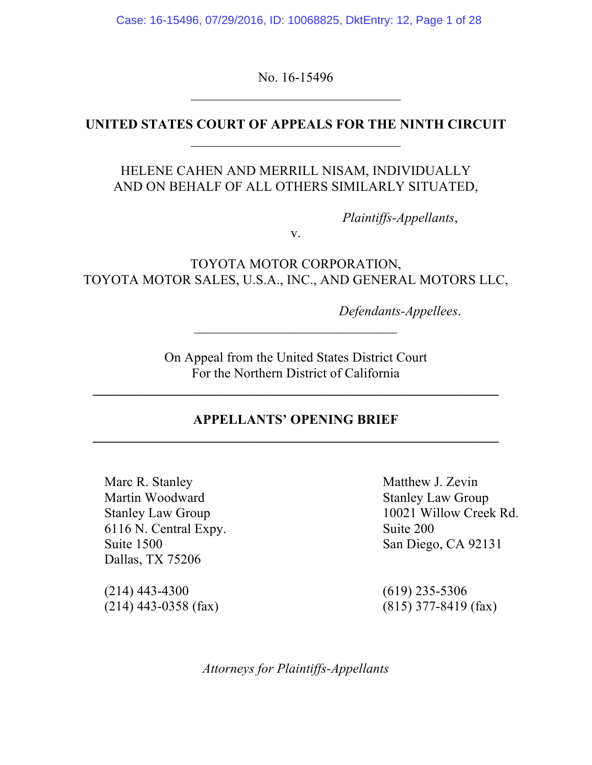Case: 16-15496, 07/29/2016, ID: 10068825, DktEntry: 12, Page 1 of 28

No. 16-15496

## **UNITED STATES COURT OF APPEALS FOR THE NINTH CIRCUIT** \_\_\_\_\_\_\_\_\_\_\_\_\_\_\_\_\_\_\_\_\_\_\_\_\_\_\_\_\_\_\_

## HELENE CAHEN AND MERRILL NISAM, INDIVIDUALLY AND ON BEHALF OF ALL OTHERS SIMILARLY SITUATED,

*Plaintiffs-Appellants*,

v.

TOYOTA MOTOR CORPORATION, TOYOTA MOTOR SALES, U.S.A., INC., AND GENERAL MOTORS LLC,

*Defendants-Appellees*.

On Appeal from the United States District Court For the Northern District of California

### **APPELLANTS' OPENING BRIEF \_\_\_\_\_\_\_\_\_\_\_\_\_\_\_\_\_\_\_\_\_\_\_\_\_\_\_\_\_\_\_\_\_\_\_\_\_\_\_\_\_\_\_\_\_\_\_\_\_\_\_\_\_\_\_\_\_\_\_\_**

Marc R. Stanley Matthew J. Zevin Martin Woodward Stanley Law Group 6116 N. Central Expy. Suite 200 Suite 1500 San Diego, CA 92131 Dallas, TX 75206

(214) 443-4300 (619) 235-5306 (214) 443-0358 (fax) (815) 377-8419 (fax)

Stanley Law Group 10021 Willow Creek Rd.

*Attorneys for Plaintiffs-Appellants*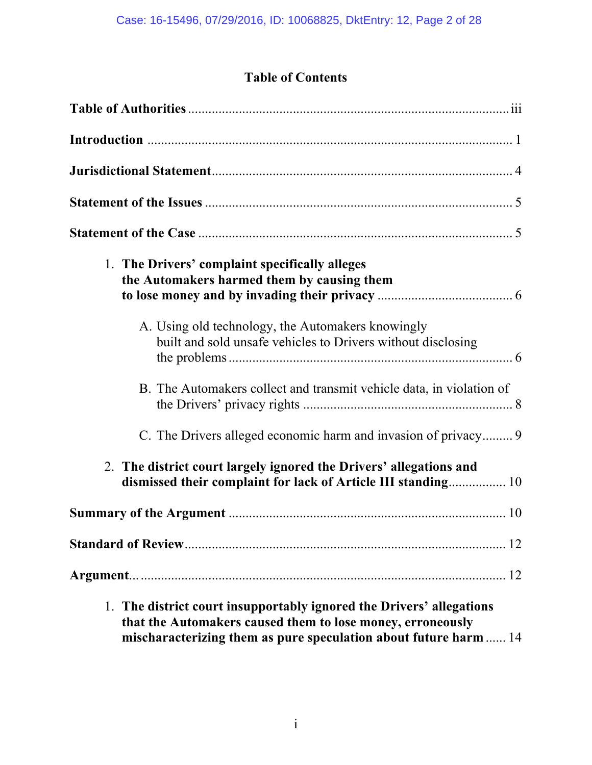# **Table of Contents**

| 1. The Drivers' complaint specifically alleges<br>the Automakers harmed them by causing them                                                                                                           |
|--------------------------------------------------------------------------------------------------------------------------------------------------------------------------------------------------------|
| A. Using old technology, the Automakers knowingly<br>built and sold unsafe vehicles to Drivers without disclosing                                                                                      |
| B. The Automakers collect and transmit vehicle data, in violation of                                                                                                                                   |
| C. The Drivers alleged economic harm and invasion of privacy 9                                                                                                                                         |
| 2. The district court largely ignored the Drivers' allegations and<br>dismissed their complaint for lack of Article III standing 10                                                                    |
|                                                                                                                                                                                                        |
|                                                                                                                                                                                                        |
|                                                                                                                                                                                                        |
| 1. The district court insupportably ignored the Drivers' allegations<br>that the Automakers caused them to lose money, erroneously<br>mischaracterizing them as pure speculation about future harm  14 |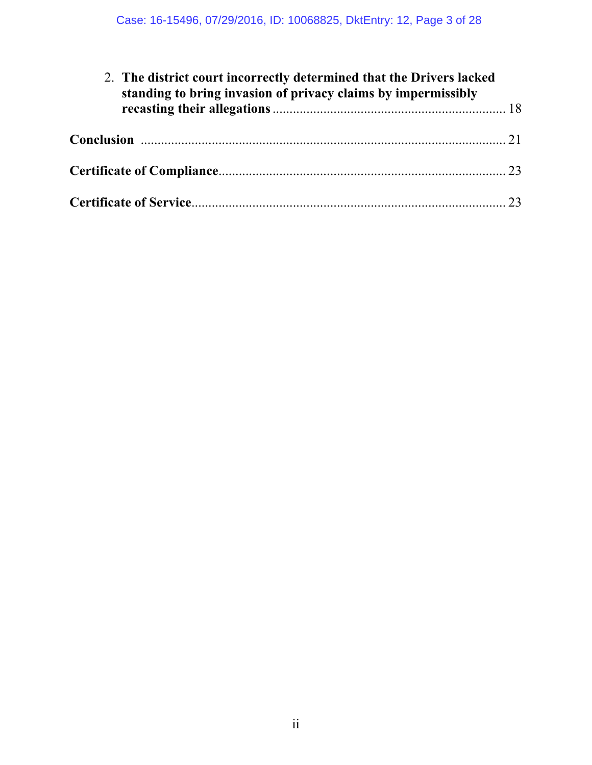| 2. The district court incorrectly determined that the Drivers lacked<br>standing to bring invasion of privacy claims by impermissibly |  |
|---------------------------------------------------------------------------------------------------------------------------------------|--|
|                                                                                                                                       |  |
|                                                                                                                                       |  |
|                                                                                                                                       |  |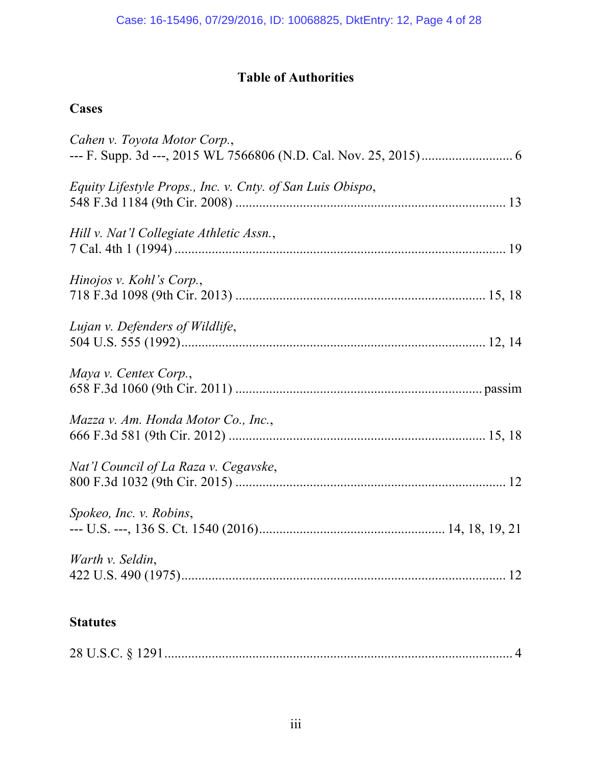## **Table of Authorities**

# **Cases**

| Cahen v. Toyota Motor Corp.,                               |
|------------------------------------------------------------|
| Equity Lifestyle Props., Inc. v. Cnty. of San Luis Obispo, |
| Hill v. Nat'l Collegiate Athletic Assn.,                   |
| Hinojos v. Kohl's Corp.,                                   |
| Lujan v. Defenders of Wildlife,                            |
| Maya v. Centex Corp.,                                      |
| Mazza v. Am. Honda Motor Co., Inc.,                        |
| Nat'l Council of La Raza v. Cegavske,                      |
| Spokeo, Inc. v. Robins,                                    |
| Warth v. Seldin,                                           |
| <b>Statutes</b>                                            |

|--|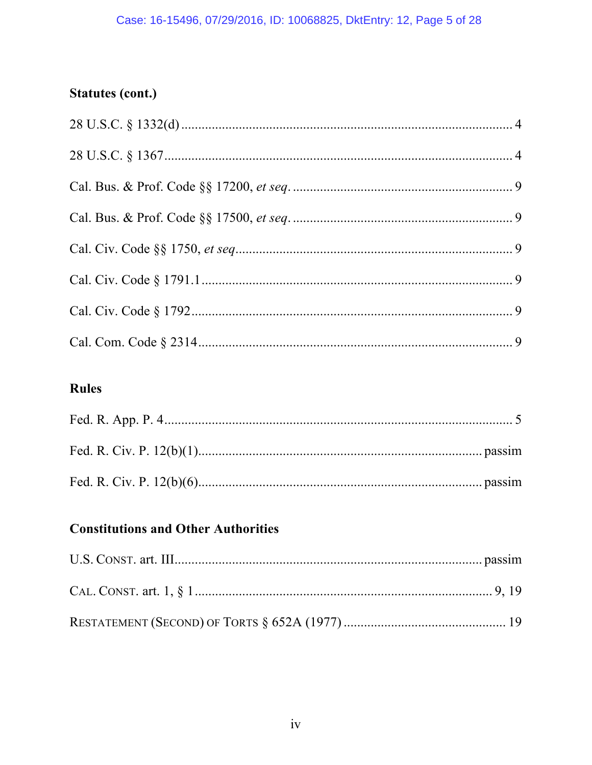### Case: 16-15496, 07/29/2016, ID: 10068825, DktEntry: 12, Page 5 of 28

# **Statutes (cont.)**

# **Rules**

## **Constitutions and Other Authorities**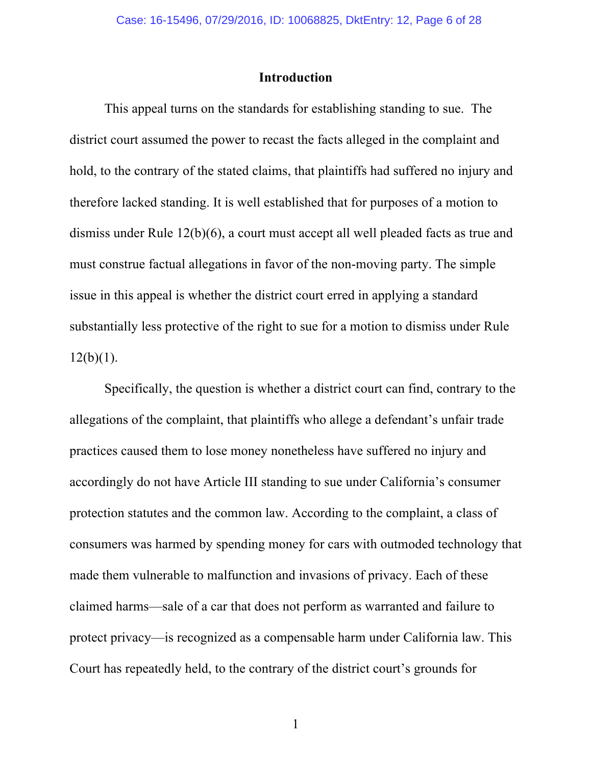#### **Introduction**

This appeal turns on the standards for establishing standing to sue. The district court assumed the power to recast the facts alleged in the complaint and hold, to the contrary of the stated claims, that plaintiffs had suffered no injury and therefore lacked standing. It is well established that for purposes of a motion to dismiss under Rule 12(b)(6), a court must accept all well pleaded facts as true and must construe factual allegations in favor of the non-moving party. The simple issue in this appeal is whether the district court erred in applying a standard substantially less protective of the right to sue for a motion to dismiss under Rule  $12(b)(1)$ .

Specifically, the question is whether a district court can find, contrary to the allegations of the complaint, that plaintiffs who allege a defendant's unfair trade practices caused them to lose money nonetheless have suffered no injury and accordingly do not have Article III standing to sue under California's consumer protection statutes and the common law. According to the complaint, a class of consumers was harmed by spending money for cars with outmoded technology that made them vulnerable to malfunction and invasions of privacy. Each of these claimed harms—sale of a car that does not perform as warranted and failure to protect privacy—is recognized as a compensable harm under California law. This Court has repeatedly held, to the contrary of the district court's grounds for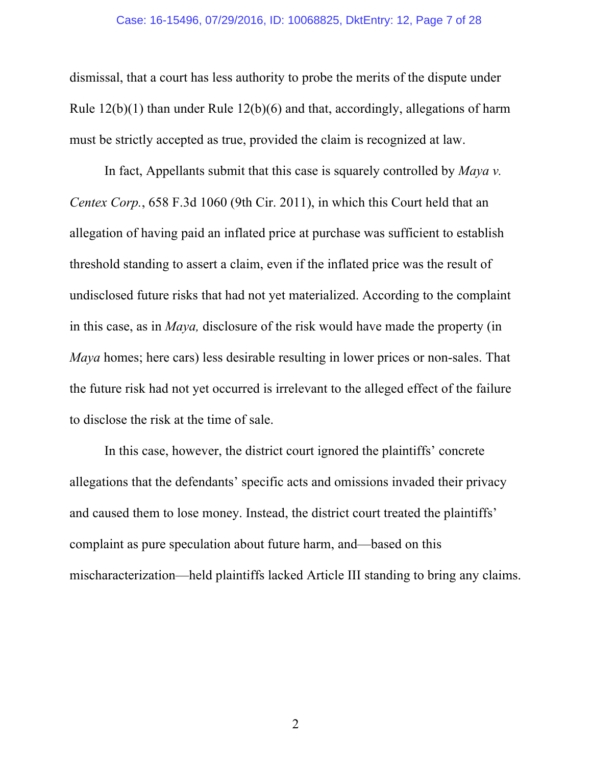#### Case: 16-15496, 07/29/2016, ID: 10068825, DktEntry: 12, Page 7 of 28

dismissal, that a court has less authority to probe the merits of the dispute under Rule 12(b)(1) than under Rule 12(b)(6) and that, accordingly, allegations of harm must be strictly accepted as true, provided the claim is recognized at law.

In fact, Appellants submit that this case is squarely controlled by *Maya v. Centex Corp.*, 658 F.3d 1060 (9th Cir. 2011), in which this Court held that an allegation of having paid an inflated price at purchase was sufficient to establish threshold standing to assert a claim, even if the inflated price was the result of undisclosed future risks that had not yet materialized. According to the complaint in this case, as in *Maya,* disclosure of the risk would have made the property (in *Maya* homes; here cars) less desirable resulting in lower prices or non-sales. That the future risk had not yet occurred is irrelevant to the alleged effect of the failure to disclose the risk at the time of sale.

In this case, however, the district court ignored the plaintiffs' concrete allegations that the defendants' specific acts and omissions invaded their privacy and caused them to lose money. Instead, the district court treated the plaintiffs' complaint as pure speculation about future harm, and—based on this mischaracterization—held plaintiffs lacked Article III standing to bring any claims.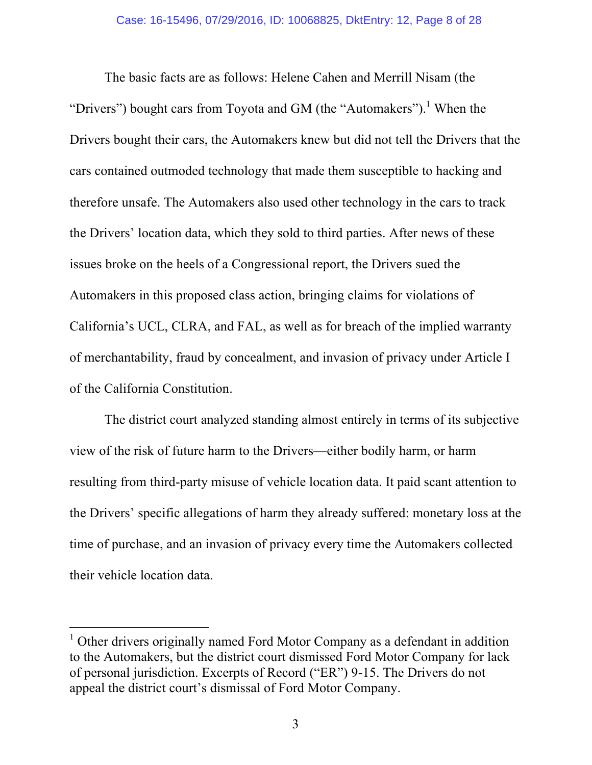The basic facts are as follows: Helene Cahen and Merrill Nisam (the "Drivers") bought cars from Toyota and GM (the "Automakers").<sup>1</sup> When the Drivers bought their cars, the Automakers knew but did not tell the Drivers that the cars contained outmoded technology that made them susceptible to hacking and therefore unsafe. The Automakers also used other technology in the cars to track the Drivers' location data, which they sold to third parties. After news of these issues broke on the heels of a Congressional report, the Drivers sued the Automakers in this proposed class action, bringing claims for violations of California's UCL, CLRA, and FAL, as well as for breach of the implied warranty of merchantability, fraud by concealment, and invasion of privacy under Article I of the California Constitution.

The district court analyzed standing almost entirely in terms of its subjective view of the risk of future harm to the Drivers—either bodily harm, or harm resulting from third-party misuse of vehicle location data. It paid scant attention to the Drivers' specific allegations of harm they already suffered: monetary loss at the time of purchase, and an invasion of privacy every time the Automakers collected their vehicle location data.

<sup>&</sup>lt;sup>1</sup> Other drivers originally named Ford Motor Company as a defendant in addition to the Automakers, but the district court dismissed Ford Motor Company for lack of personal jurisdiction. Excerpts of Record ("ER") 9-15. The Drivers do not appeal the district court's dismissal of Ford Motor Company.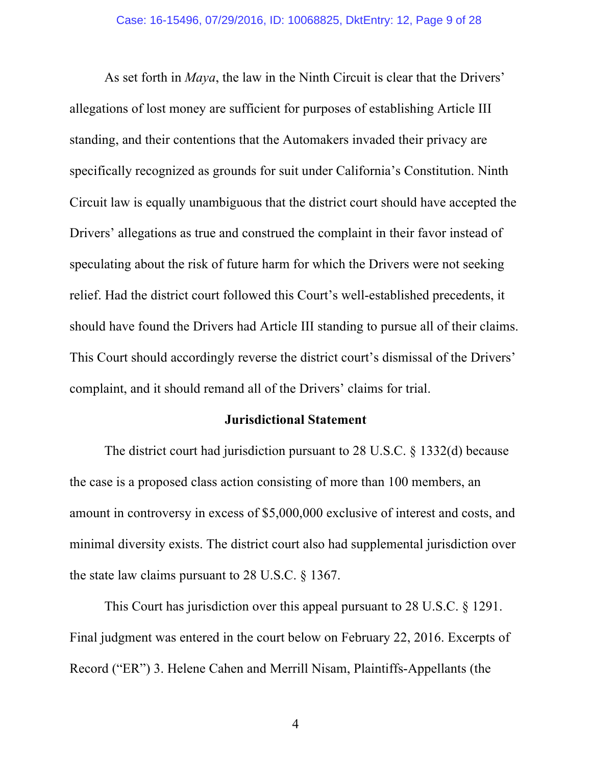As set forth in *Maya*, the law in the Ninth Circuit is clear that the Drivers' allegations of lost money are sufficient for purposes of establishing Article III standing, and their contentions that the Automakers invaded their privacy are specifically recognized as grounds for suit under California's Constitution. Ninth Circuit law is equally unambiguous that the district court should have accepted the Drivers' allegations as true and construed the complaint in their favor instead of speculating about the risk of future harm for which the Drivers were not seeking relief. Had the district court followed this Court's well-established precedents, it should have found the Drivers had Article III standing to pursue all of their claims. This Court should accordingly reverse the district court's dismissal of the Drivers' complaint, and it should remand all of the Drivers' claims for trial.

#### **Jurisdictional Statement**

The district court had jurisdiction pursuant to 28 U.S.C. § 1332(d) because the case is a proposed class action consisting of more than 100 members, an amount in controversy in excess of \$5,000,000 exclusive of interest and costs, and minimal diversity exists. The district court also had supplemental jurisdiction over the state law claims pursuant to 28 U.S.C. § 1367.

This Court has jurisdiction over this appeal pursuant to 28 U.S.C. § 1291. Final judgment was entered in the court below on February 22, 2016. Excerpts of Record ("ER") 3. Helene Cahen and Merrill Nisam, Plaintiffs-Appellants (the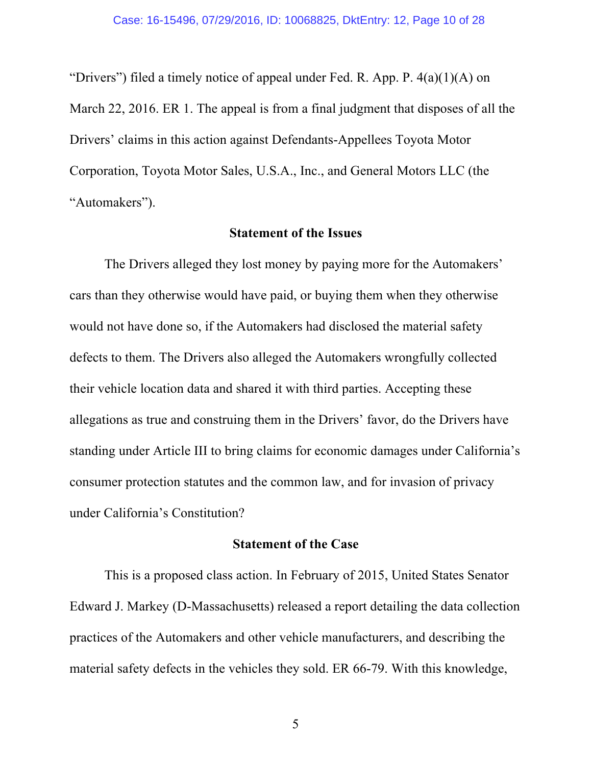"Drivers") filed a timely notice of appeal under Fed. R. App. P.  $4(a)(1)(A)$  on March 22, 2016. ER 1. The appeal is from a final judgment that disposes of all the Drivers' claims in this action against Defendants-Appellees Toyota Motor Corporation, Toyota Motor Sales, U.S.A., Inc., and General Motors LLC (the "Automakers").

#### **Statement of the Issues**

The Drivers alleged they lost money by paying more for the Automakers' cars than they otherwise would have paid, or buying them when they otherwise would not have done so, if the Automakers had disclosed the material safety defects to them. The Drivers also alleged the Automakers wrongfully collected their vehicle location data and shared it with third parties. Accepting these allegations as true and construing them in the Drivers' favor, do the Drivers have standing under Article III to bring claims for economic damages under California's consumer protection statutes and the common law, and for invasion of privacy under California's Constitution?

#### **Statement of the Case**

This is a proposed class action. In February of 2015, United States Senator Edward J. Markey (D-Massachusetts) released a report detailing the data collection practices of the Automakers and other vehicle manufacturers, and describing the material safety defects in the vehicles they sold. ER 66-79. With this knowledge,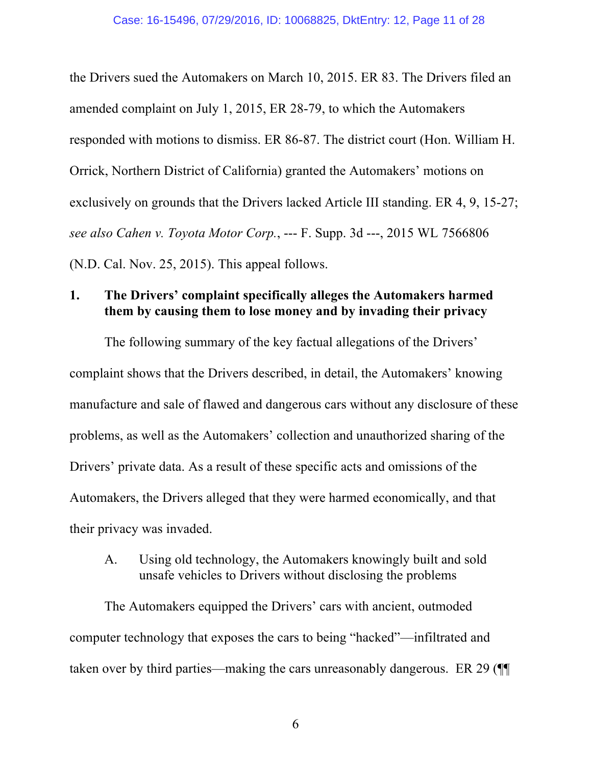the Drivers sued the Automakers on March 10, 2015. ER 83. The Drivers filed an amended complaint on July 1, 2015, ER 28-79, to which the Automakers responded with motions to dismiss. ER 86-87. The district court (Hon. William H. Orrick, Northern District of California) granted the Automakers' motions on exclusively on grounds that the Drivers lacked Article III standing. ER 4, 9, 15-27; *see also Cahen v. Toyota Motor Corp.*, --- F. Supp. 3d ---, 2015 WL 7566806 (N.D. Cal. Nov. 25, 2015). This appeal follows.

### **1. The Drivers' complaint specifically alleges the Automakers harmed them by causing them to lose money and by invading their privacy**

The following summary of the key factual allegations of the Drivers' complaint shows that the Drivers described, in detail, the Automakers' knowing manufacture and sale of flawed and dangerous cars without any disclosure of these problems, as well as the Automakers' collection and unauthorized sharing of the Drivers' private data. As a result of these specific acts and omissions of the Automakers, the Drivers alleged that they were harmed economically, and that their privacy was invaded.

A. Using old technology, the Automakers knowingly built and sold unsafe vehicles to Drivers without disclosing the problems

The Automakers equipped the Drivers' cars with ancient, outmoded computer technology that exposes the cars to being "hacked"—infiltrated and taken over by third parties—making the cars unreasonably dangerous. ER 29 (¶¶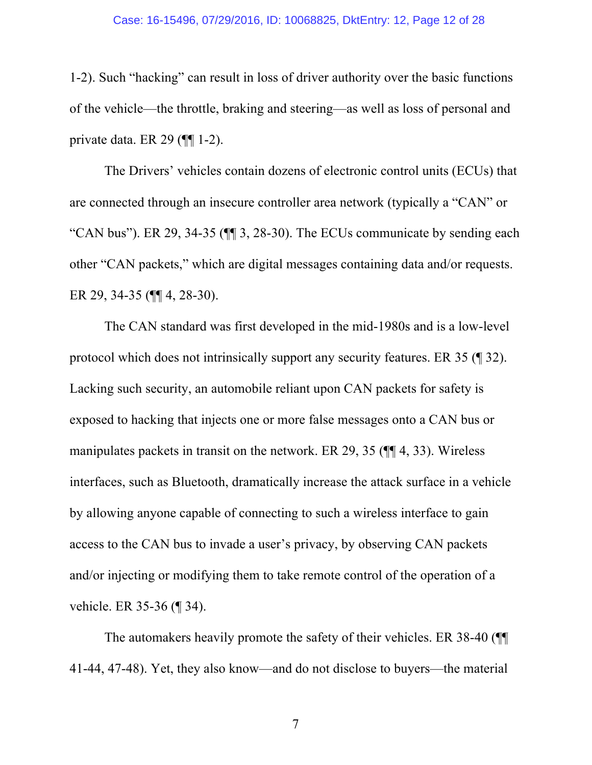1-2). Such "hacking" can result in loss of driver authority over the basic functions of the vehicle—the throttle, braking and steering—as well as loss of personal and private data. ER 29 (¶¶ 1-2).

The Drivers' vehicles contain dozens of electronic control units (ECUs) that are connected through an insecure controller area network (typically a "CAN" or "CAN bus"). ER 29, 34-35 (¶¶ 3, 28-30). The ECUs communicate by sending each other "CAN packets," which are digital messages containing data and/or requests. ER 29, 34-35 (¶¶ 4, 28-30).

The CAN standard was first developed in the mid-1980s and is a low-level protocol which does not intrinsically support any security features. ER 35 (¶ 32). Lacking such security, an automobile reliant upon CAN packets for safety is exposed to hacking that injects one or more false messages onto a CAN bus or manipulates packets in transit on the network. ER 29, 35 (¶¶ 4, 33). Wireless interfaces, such as Bluetooth, dramatically increase the attack surface in a vehicle by allowing anyone capable of connecting to such a wireless interface to gain access to the CAN bus to invade a user's privacy, by observing CAN packets and/or injecting or modifying them to take remote control of the operation of a vehicle. ER 35-36 (¶ 34).

The automakers heavily promote the safety of their vehicles. ER 38-40 (¶¶ 41-44, 47-48). Yet, they also know—and do not disclose to buyers—the material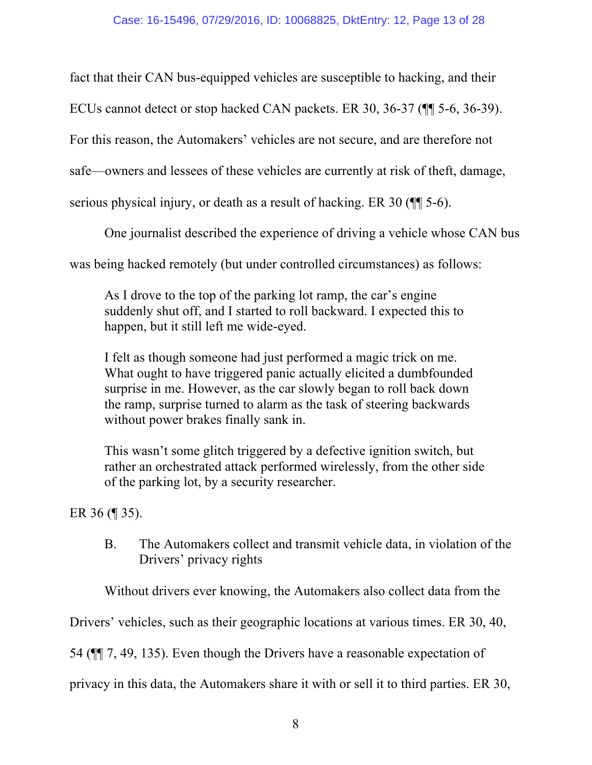fact that their CAN bus-equipped vehicles are susceptible to hacking, and their

ECUs cannot detect or stop hacked CAN packets. ER 30, 36-37 (¶¶ 5-6, 36-39).

For this reason, the Automakers' vehicles are not secure, and are therefore not

safe—owners and lessees of these vehicles are currently at risk of theft, damage,

serious physical injury, or death as a result of hacking. ER 30 (¶¶ 5-6).

One journalist described the experience of driving a vehicle whose CAN bus

was being hacked remotely (but under controlled circumstances) as follows:

As I drove to the top of the parking lot ramp, the car's engine suddenly shut off, and I started to roll backward. I expected this to happen, but it still left me wide-eyed.

I felt as though someone had just performed a magic trick on me. What ought to have triggered panic actually elicited a dumbfounded surprise in me. However, as the car slowly began to roll back down the ramp, surprise turned to alarm as the task of steering backwards without power brakes finally sank in.

This wasn't some glitch triggered by a defective ignition switch, but rather an orchestrated attack performed wirelessly, from the other side of the parking lot, by a security researcher.

ER 36 (¶ 35).

B. The Automakers collect and transmit vehicle data, in violation of the Drivers' privacy rights

Without drivers ever knowing, the Automakers also collect data from the

Drivers' vehicles, such as their geographic locations at various times. ER 30, 40,

54 (¶¶ 7, 49, 135). Even though the Drivers have a reasonable expectation of

privacy in this data, the Automakers share it with or sell it to third parties. ER 30,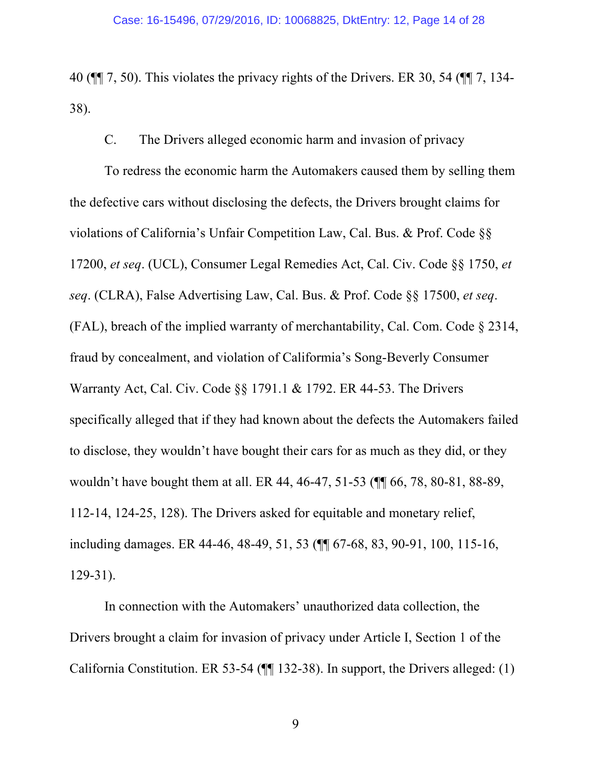40 (¶¶ 7, 50). This violates the privacy rights of the Drivers. ER 30, 54 (¶¶ 7, 134- 38).

C. The Drivers alleged economic harm and invasion of privacy

To redress the economic harm the Automakers caused them by selling them the defective cars without disclosing the defects, the Drivers brought claims for violations of California's Unfair Competition Law, Cal. Bus. & Prof. Code §§ 17200, *et seq*. (UCL), Consumer Legal Remedies Act, Cal. Civ. Code §§ 1750, *et seq*. (CLRA), False Advertising Law, Cal. Bus. & Prof. Code §§ 17500, *et seq*. (FAL), breach of the implied warranty of merchantability, Cal. Com. Code § 2314, fraud by concealment, and violation of Califormia's Song-Beverly Consumer Warranty Act, Cal. Civ. Code §§ 1791.1 & 1792. ER 44-53. The Drivers specifically alleged that if they had known about the defects the Automakers failed to disclose, they wouldn't have bought their cars for as much as they did, or they wouldn't have bought them at all. ER 44, 46-47, 51-53 (¶¶ 66, 78, 80-81, 88-89, 112-14, 124-25, 128). The Drivers asked for equitable and monetary relief, including damages. ER 44-46, 48-49, 51, 53 (¶¶ 67-68, 83, 90-91, 100, 115-16, 129-31).

In connection with the Automakers' unauthorized data collection, the Drivers brought a claim for invasion of privacy under Article I, Section 1 of the California Constitution. ER 53-54 (¶¶ 132-38). In support, the Drivers alleged: (1)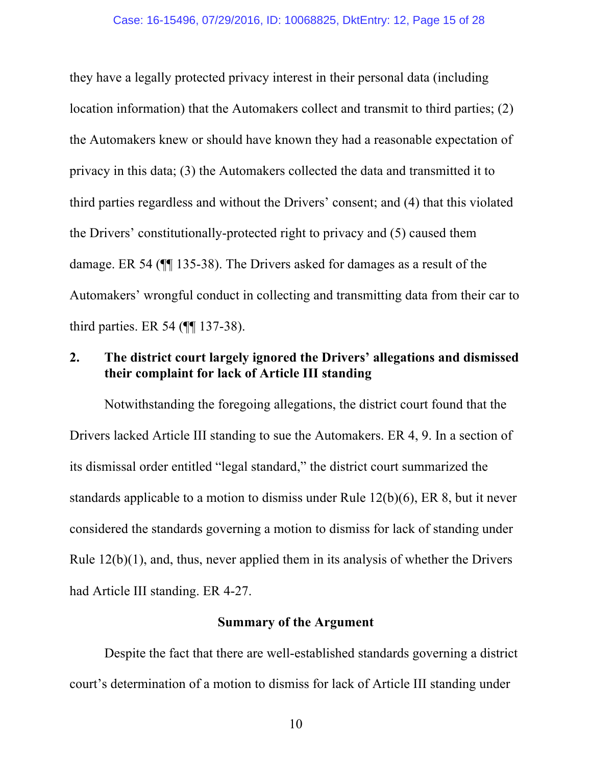they have a legally protected privacy interest in their personal data (including location information) that the Automakers collect and transmit to third parties; (2) the Automakers knew or should have known they had a reasonable expectation of privacy in this data; (3) the Automakers collected the data and transmitted it to third parties regardless and without the Drivers' consent; and (4) that this violated the Drivers' constitutionally-protected right to privacy and (5) caused them damage. ER 54 (¶¶ 135-38). The Drivers asked for damages as a result of the Automakers' wrongful conduct in collecting and transmitting data from their car to third parties. ER 54 (¶¶ 137-38).

### **2. The district court largely ignored the Drivers' allegations and dismissed their complaint for lack of Article III standing**

Notwithstanding the foregoing allegations, the district court found that the Drivers lacked Article III standing to sue the Automakers. ER 4, 9. In a section of its dismissal order entitled "legal standard," the district court summarized the standards applicable to a motion to dismiss under Rule 12(b)(6), ER 8, but it never considered the standards governing a motion to dismiss for lack of standing under Rule 12(b)(1), and, thus, never applied them in its analysis of whether the Drivers had Article III standing. ER 4-27.

### **Summary of the Argument**

Despite the fact that there are well-established standards governing a district court's determination of a motion to dismiss for lack of Article III standing under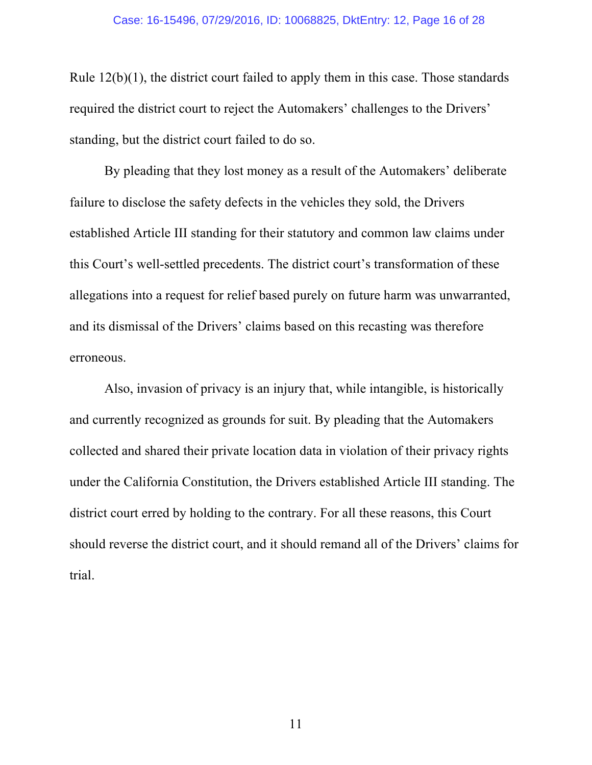Rule  $12(b)(1)$ , the district court failed to apply them in this case. Those standards required the district court to reject the Automakers' challenges to the Drivers' standing, but the district court failed to do so.

By pleading that they lost money as a result of the Automakers' deliberate failure to disclose the safety defects in the vehicles they sold, the Drivers established Article III standing for their statutory and common law claims under this Court's well-settled precedents. The district court's transformation of these allegations into a request for relief based purely on future harm was unwarranted, and its dismissal of the Drivers' claims based on this recasting was therefore erroneous.

Also, invasion of privacy is an injury that, while intangible, is historically and currently recognized as grounds for suit. By pleading that the Automakers collected and shared their private location data in violation of their privacy rights under the California Constitution, the Drivers established Article III standing. The district court erred by holding to the contrary. For all these reasons, this Court should reverse the district court, and it should remand all of the Drivers' claims for trial.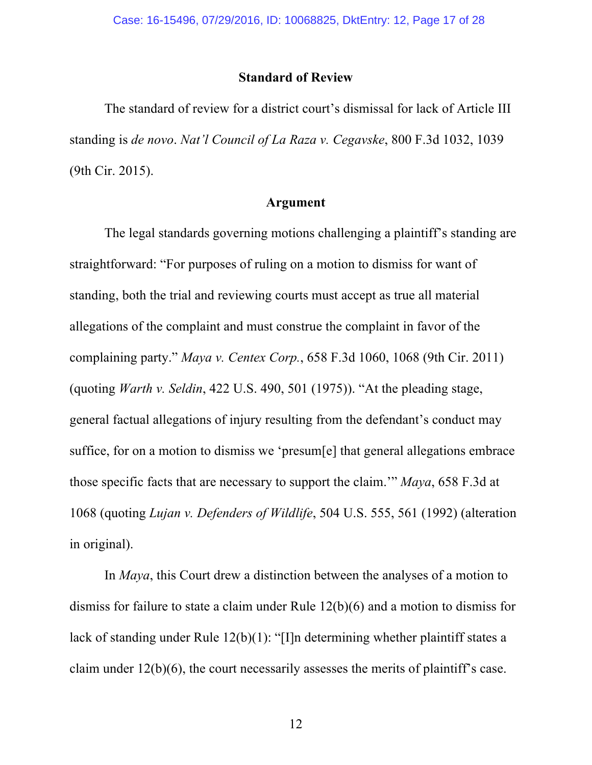#### **Standard of Review**

The standard of review for a district court's dismissal for lack of Article III standing is *de novo*. *Nat'l Council of La Raza v. Cegavske*, 800 F.3d 1032, 1039 (9th Cir. 2015).

#### **Argument**

The legal standards governing motions challenging a plaintiff's standing are straightforward: "For purposes of ruling on a motion to dismiss for want of standing, both the trial and reviewing courts must accept as true all material allegations of the complaint and must construe the complaint in favor of the complaining party." *Maya v. Centex Corp.*, 658 F.3d 1060, 1068 (9th Cir. 2011) (quoting *Warth v. Seldin*, 422 U.S. 490, 501 (1975)). "At the pleading stage, general factual allegations of injury resulting from the defendant's conduct may suffice, for on a motion to dismiss we 'presum[e] that general allegations embrace those specific facts that are necessary to support the claim.'" *Maya*, 658 F.3d at 1068 (quoting *Lujan v. Defenders of Wildlife*, 504 U.S. 555, 561 (1992) (alteration in original).

In *Maya*, this Court drew a distinction between the analyses of a motion to dismiss for failure to state a claim under Rule 12(b)(6) and a motion to dismiss for lack of standing under Rule 12(b)(1): "[I]n determining whether plaintiff states a claim under 12(b)(6), the court necessarily assesses the merits of plaintiff's case.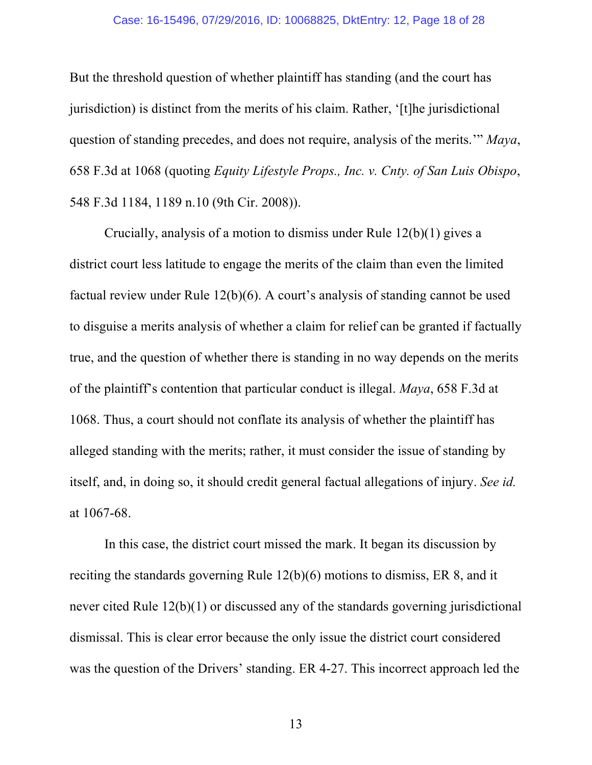#### Case: 16-15496, 07/29/2016, ID: 10068825, DktEntry: 12, Page 18 of 28

But the threshold question of whether plaintiff has standing (and the court has jurisdiction) is distinct from the merits of his claim. Rather, '[t]he jurisdictional question of standing precedes, and does not require, analysis of the merits.'" *Maya*, 658 F.3d at 1068 (quoting *Equity Lifestyle Props., Inc. v. Cnty. of San Luis Obispo*, 548 F.3d 1184, 1189 n.10 (9th Cir. 2008)).

Crucially, analysis of a motion to dismiss under Rule 12(b)(1) gives a district court less latitude to engage the merits of the claim than even the limited factual review under Rule 12(b)(6). A court's analysis of standing cannot be used to disguise a merits analysis of whether a claim for relief can be granted if factually true, and the question of whether there is standing in no way depends on the merits of the plaintiff's contention that particular conduct is illegal. *Maya*, 658 F.3d at 1068. Thus, a court should not conflate its analysis of whether the plaintiff has alleged standing with the merits; rather, it must consider the issue of standing by itself, and, in doing so, it should credit general factual allegations of injury. *See id.* at 1067-68.

In this case, the district court missed the mark. It began its discussion by reciting the standards governing Rule 12(b)(6) motions to dismiss, ER 8, and it never cited Rule 12(b)(1) or discussed any of the standards governing jurisdictional dismissal. This is clear error because the only issue the district court considered was the question of the Drivers' standing. ER 4-27. This incorrect approach led the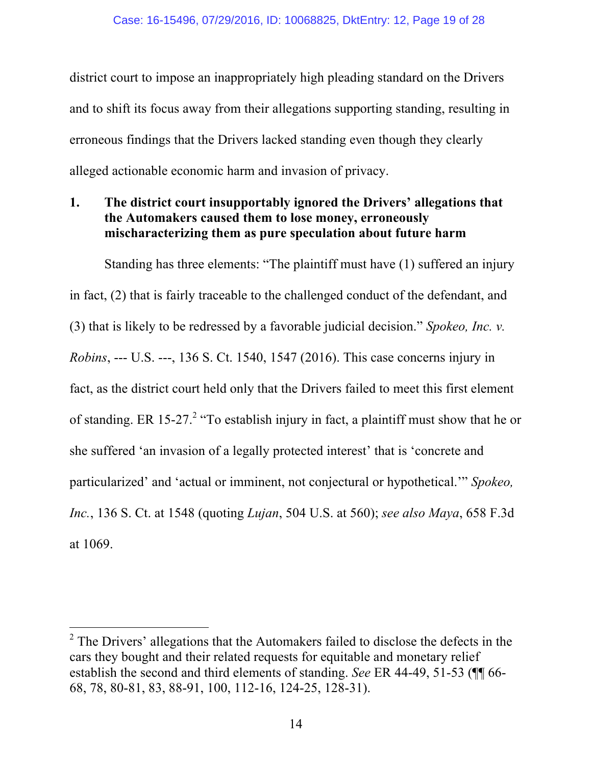district court to impose an inappropriately high pleading standard on the Drivers and to shift its focus away from their allegations supporting standing, resulting in erroneous findings that the Drivers lacked standing even though they clearly alleged actionable economic harm and invasion of privacy.

## **1. The district court insupportably ignored the Drivers' allegations that the Automakers caused them to lose money, erroneously mischaracterizing them as pure speculation about future harm**

Standing has three elements: "The plaintiff must have (1) suffered an injury in fact, (2) that is fairly traceable to the challenged conduct of the defendant, and (3) that is likely to be redressed by a favorable judicial decision." *Spokeo, Inc. v. Robins*, --- U.S. ---, 136 S. Ct. 1540, 1547 (2016). This case concerns injury in fact, as the district court held only that the Drivers failed to meet this first element of standing. ER 15-27.<sup>2</sup> "To establish injury in fact, a plaintiff must show that he or she suffered 'an invasion of a legally protected interest' that is 'concrete and particularized' and 'actual or imminent, not conjectural or hypothetical.'" *Spokeo, Inc.*, 136 S. Ct. at 1548 (quoting *Lujan*, 504 U.S. at 560); *see also Maya*, 658 F.3d at 1069.

 $2$ <sup>2</sup> The Drivers' allegations that the Automakers failed to disclose the defects in the cars they bought and their related requests for equitable and monetary relief establish the second and third elements of standing. *See* ER 44-49, 51-53 (¶¶ 66- 68, 78, 80-81, 83, 88-91, 100, 112-16, 124-25, 128-31).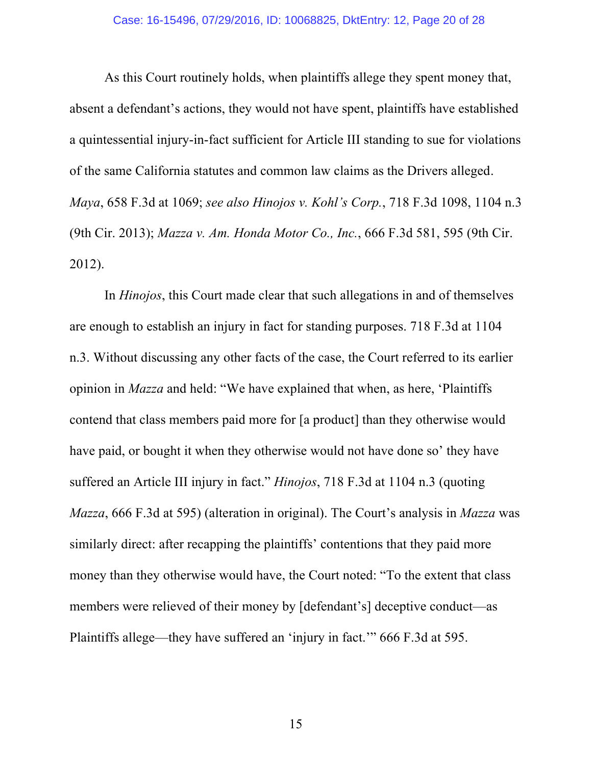As this Court routinely holds, when plaintiffs allege they spent money that, absent a defendant's actions, they would not have spent, plaintiffs have established a quintessential injury-in-fact sufficient for Article III standing to sue for violations of the same California statutes and common law claims as the Drivers alleged. *Maya*, 658 F.3d at 1069; *see also Hinojos v. Kohl's Corp.*, 718 F.3d 1098, 1104 n.3 (9th Cir. 2013); *Mazza v. Am. Honda Motor Co., Inc.*, 666 F.3d 581, 595 (9th Cir. 2012).

In *Hinojos*, this Court made clear that such allegations in and of themselves are enough to establish an injury in fact for standing purposes. 718 F.3d at 1104 n.3. Without discussing any other facts of the case, the Court referred to its earlier opinion in *Mazza* and held: "We have explained that when, as here, 'Plaintiffs contend that class members paid more for [a product] than they otherwise would have paid, or bought it when they otherwise would not have done so' they have suffered an Article III injury in fact." *Hinojos*, 718 F.3d at 1104 n.3 (quoting *Mazza*, 666 F.3d at 595) (alteration in original). The Court's analysis in *Mazza* was similarly direct: after recapping the plaintiffs' contentions that they paid more money than they otherwise would have, the Court noted: "To the extent that class members were relieved of their money by [defendant's] deceptive conduct—as Plaintiffs allege—they have suffered an 'injury in fact.'" 666 F.3d at 595.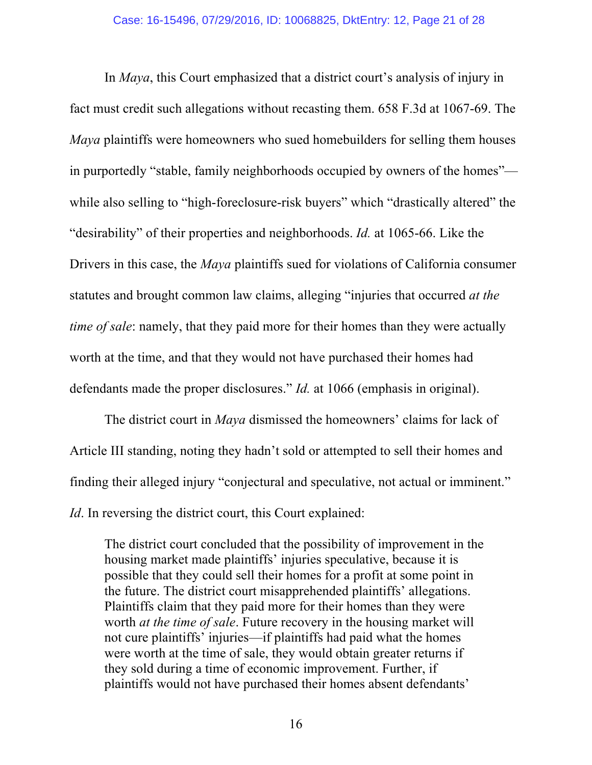In *Maya*, this Court emphasized that a district court's analysis of injury in fact must credit such allegations without recasting them. 658 F.3d at 1067-69. The *Maya* plaintiffs were homeowners who sued homebuilders for selling them houses in purportedly "stable, family neighborhoods occupied by owners of the homes" while also selling to "high-foreclosure-risk buyers" which "drastically altered" the "desirability" of their properties and neighborhoods. *Id.* at 1065-66. Like the Drivers in this case, the *Maya* plaintiffs sued for violations of California consumer statutes and brought common law claims, alleging "injuries that occurred *at the time of sale*: namely, that they paid more for their homes than they were actually worth at the time, and that they would not have purchased their homes had defendants made the proper disclosures." *Id.* at 1066 (emphasis in original).

The district court in *Maya* dismissed the homeowners' claims for lack of Article III standing, noting they hadn't sold or attempted to sell their homes and finding their alleged injury "conjectural and speculative, not actual or imminent." *Id*. In reversing the district court, this Court explained:

The district court concluded that the possibility of improvement in the housing market made plaintiffs' injuries speculative, because it is possible that they could sell their homes for a profit at some point in the future. The district court misapprehended plaintiffs' allegations. Plaintiffs claim that they paid more for their homes than they were worth *at the time of sale*. Future recovery in the housing market will not cure plaintiffs' injuries—if plaintiffs had paid what the homes were worth at the time of sale, they would obtain greater returns if they sold during a time of economic improvement. Further, if plaintiffs would not have purchased their homes absent defendants'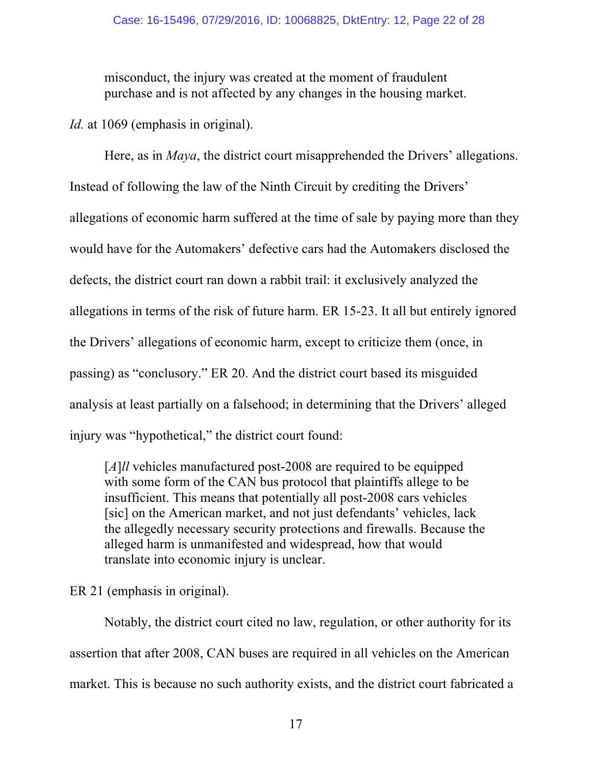misconduct, the injury was created at the moment of fraudulent purchase and is not affected by any changes in the housing market.

*Id.* at 1069 (emphasis in original).

Here, as in *Maya*, the district court misapprehended the Drivers' allegations. Instead of following the law of the Ninth Circuit by crediting the Drivers' allegations of economic harm suffered at the time of sale by paying more than they would have for the Automakers' defective cars had the Automakers disclosed the defects, the district court ran down a rabbit trail: it exclusively analyzed the allegations in terms of the risk of future harm. ER 15-23. It all but entirely ignored the Drivers' allegations of economic harm, except to criticize them (once, in passing) as "conclusory." ER 20. And the district court based its misguided analysis at least partially on a falsehood; in determining that the Drivers' alleged injury was "hypothetical," the district court found:

[*A*]*ll* vehicles manufactured post-2008 are required to be equipped with some form of the CAN bus protocol that plaintiffs allege to be insufficient. This means that potentially all post-2008 cars vehicles [sic] on the American market, and not just defendants' vehicles, lack the allegedly necessary security protections and firewalls. Because the alleged harm is unmanifested and widespread, how that would translate into economic injury is unclear.

ER 21 (emphasis in original).

Notably, the district court cited no law, regulation, or other authority for its assertion that after 2008, CAN buses are required in all vehicles on the American market. This is because no such authority exists, and the district court fabricated a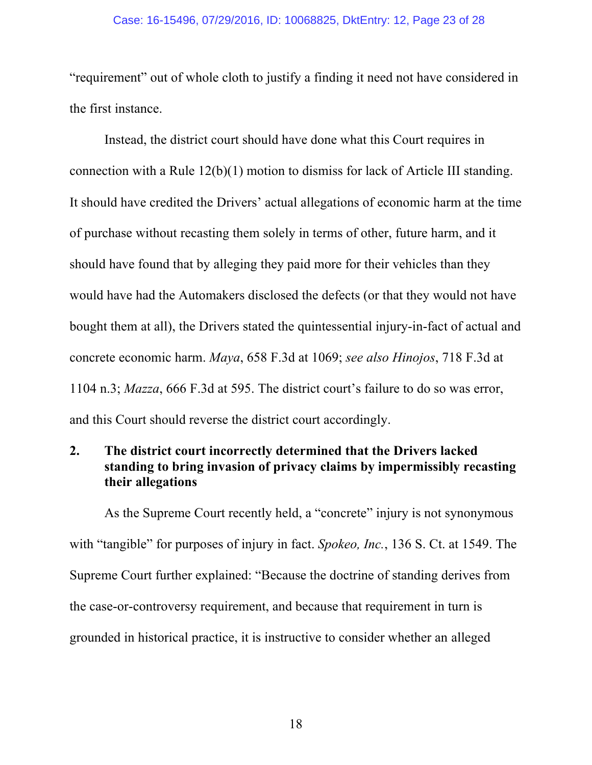#### Case: 16-15496, 07/29/2016, ID: 10068825, DktEntry: 12, Page 23 of 28

"requirement" out of whole cloth to justify a finding it need not have considered in the first instance.

Instead, the district court should have done what this Court requires in connection with a Rule 12(b)(1) motion to dismiss for lack of Article III standing. It should have credited the Drivers' actual allegations of economic harm at the time of purchase without recasting them solely in terms of other, future harm, and it should have found that by alleging they paid more for their vehicles than they would have had the Automakers disclosed the defects (or that they would not have bought them at all), the Drivers stated the quintessential injury-in-fact of actual and concrete economic harm. *Maya*, 658 F.3d at 1069; *see also Hinojos*, 718 F.3d at 1104 n.3; *Mazza*, 666 F.3d at 595. The district court's failure to do so was error, and this Court should reverse the district court accordingly.

### **2. The district court incorrectly determined that the Drivers lacked standing to bring invasion of privacy claims by impermissibly recasting their allegations**

As the Supreme Court recently held, a "concrete" injury is not synonymous with "tangible" for purposes of injury in fact. *Spokeo, Inc.*, 136 S. Ct. at 1549. The Supreme Court further explained: "Because the doctrine of standing derives from the case-or-controversy requirement, and because that requirement in turn is grounded in historical practice, it is instructive to consider whether an alleged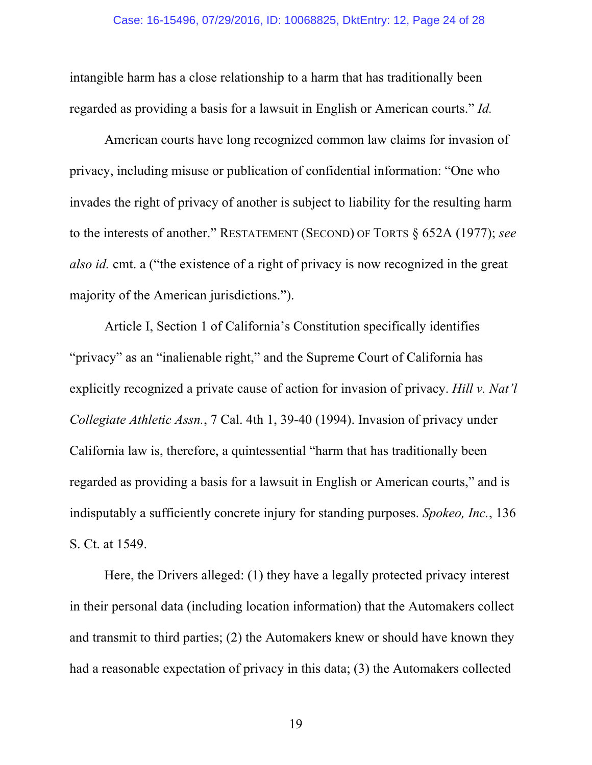intangible harm has a close relationship to a harm that has traditionally been regarded as providing a basis for a lawsuit in English or American courts." *Id.*

American courts have long recognized common law claims for invasion of privacy, including misuse or publication of confidential information: "One who invades the right of privacy of another is subject to liability for the resulting harm to the interests of another." RESTATEMENT (SECOND) OF TORTS § 652A (1977); *see also id.* cmt. a ("the existence of a right of privacy is now recognized in the great majority of the American jurisdictions.").

Article I, Section 1 of California's Constitution specifically identifies "privacy" as an "inalienable right," and the Supreme Court of California has explicitly recognized a private cause of action for invasion of privacy. *Hill v. Nat'l Collegiate Athletic Assn.*, 7 Cal. 4th 1, 39-40 (1994). Invasion of privacy under California law is, therefore, a quintessential "harm that has traditionally been regarded as providing a basis for a lawsuit in English or American courts," and is indisputably a sufficiently concrete injury for standing purposes. *Spokeo, Inc.*, 136 S. Ct. at 1549.

Here, the Drivers alleged: (1) they have a legally protected privacy interest in their personal data (including location information) that the Automakers collect and transmit to third parties; (2) the Automakers knew or should have known they had a reasonable expectation of privacy in this data; (3) the Automakers collected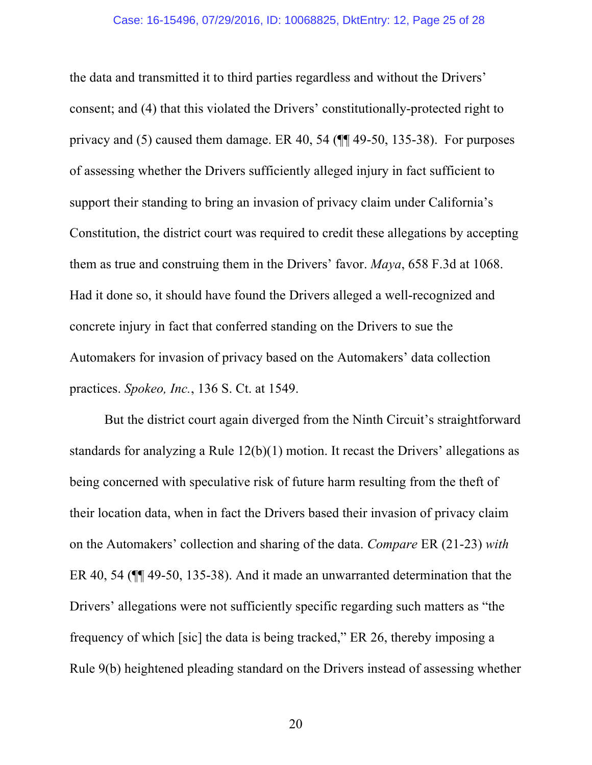the data and transmitted it to third parties regardless and without the Drivers' consent; and (4) that this violated the Drivers' constitutionally-protected right to privacy and (5) caused them damage. ER 40, 54 (¶¶ 49-50, 135-38). For purposes of assessing whether the Drivers sufficiently alleged injury in fact sufficient to support their standing to bring an invasion of privacy claim under California's Constitution, the district court was required to credit these allegations by accepting them as true and construing them in the Drivers' favor. *Maya*, 658 F.3d at 1068. Had it done so, it should have found the Drivers alleged a well-recognized and concrete injury in fact that conferred standing on the Drivers to sue the Automakers for invasion of privacy based on the Automakers' data collection practices. *Spokeo, Inc.*, 136 S. Ct. at 1549.

But the district court again diverged from the Ninth Circuit's straightforward standards for analyzing a Rule 12(b)(1) motion. It recast the Drivers' allegations as being concerned with speculative risk of future harm resulting from the theft of their location data, when in fact the Drivers based their invasion of privacy claim on the Automakers' collection and sharing of the data. *Compare* ER (21-23) *with* ER 40, 54 (¶¶ 49-50, 135-38). And it made an unwarranted determination that the Drivers' allegations were not sufficiently specific regarding such matters as "the frequency of which [sic] the data is being tracked," ER 26, thereby imposing a Rule 9(b) heightened pleading standard on the Drivers instead of assessing whether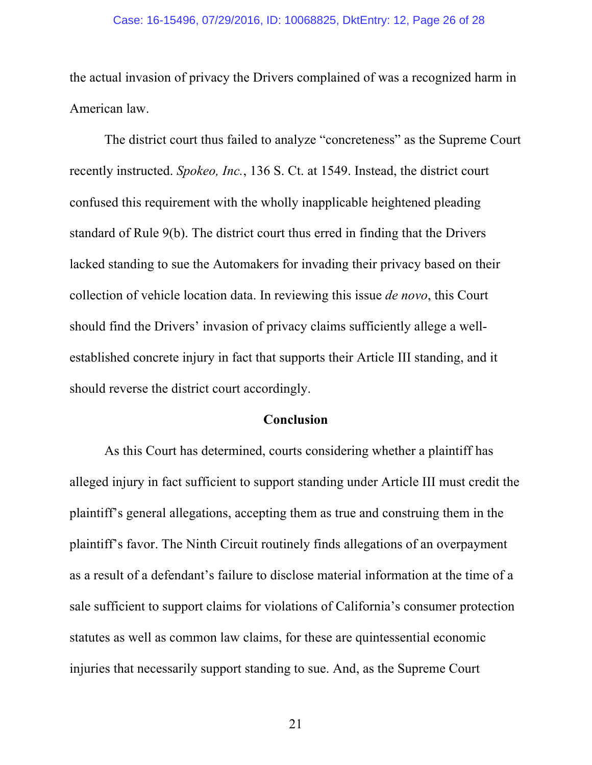#### Case: 16-15496, 07/29/2016, ID: 10068825, DktEntry: 12, Page 26 of 28

the actual invasion of privacy the Drivers complained of was a recognized harm in American law.

The district court thus failed to analyze "concreteness" as the Supreme Court recently instructed. *Spokeo, Inc.*, 136 S. Ct. at 1549. Instead, the district court confused this requirement with the wholly inapplicable heightened pleading standard of Rule 9(b). The district court thus erred in finding that the Drivers lacked standing to sue the Automakers for invading their privacy based on their collection of vehicle location data. In reviewing this issue *de novo*, this Court should find the Drivers' invasion of privacy claims sufficiently allege a wellestablished concrete injury in fact that supports their Article III standing, and it should reverse the district court accordingly.

#### **Conclusion**

As this Court has determined, courts considering whether a plaintiff has alleged injury in fact sufficient to support standing under Article III must credit the plaintiff's general allegations, accepting them as true and construing them in the plaintiff's favor. The Ninth Circuit routinely finds allegations of an overpayment as a result of a defendant's failure to disclose material information at the time of a sale sufficient to support claims for violations of California's consumer protection statutes as well as common law claims, for these are quintessential economic injuries that necessarily support standing to sue. And, as the Supreme Court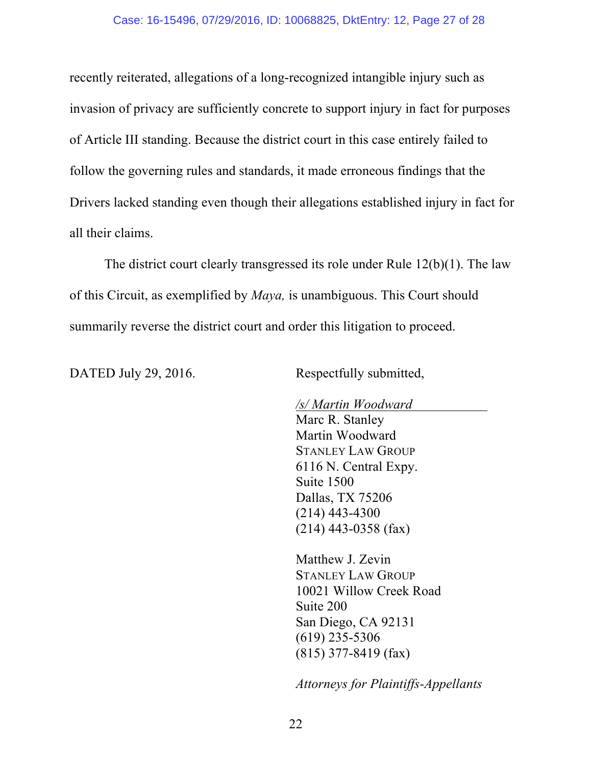recently reiterated, allegations of a long-recognized intangible injury such as invasion of privacy are sufficiently concrete to support injury in fact for purposes of Article III standing. Because the district court in this case entirely failed to follow the governing rules and standards, it made erroneous findings that the Drivers lacked standing even though their allegations established injury in fact for all their claims.

The district court clearly transgressed its role under Rule 12(b)(1). The law of this Circuit, as exemplified by *Maya,* is unambiguous. This Court should summarily reverse the district court and order this litigation to proceed.

DATED July 29, 2016. Respectfully submitted,

*/s/ Martin Woodward*

Marc R. Stanley Martin Woodward STANLEY LAW GROUP 6116 N. Central Expy. Suite 1500 Dallas, TX 75206 (214) 443-4300 (214) 443-0358 (fax)

Matthew J. Zevin STANLEY LAW GROUP 10021 Willow Creek Road Suite 200 San Diego, CA 92131 (619) 235-5306 (815) 377-8419 (fax)

*Attorneys for Plaintiffs-Appellants*